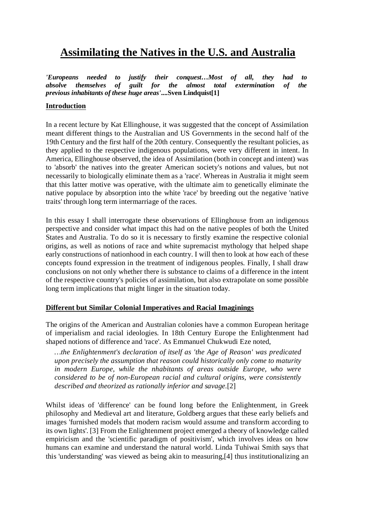# **Assimilating the Natives in the U.S. and Australia**

*'Europeans needed to justify their conquest…Most of all, they had to absolve themselves of guilt for the almost total extermination of the previous inhabitants of these huge areas'***....Sven Lindquist[1]**

## **Introduction**

In a recent lecture by Kat Ellinghouse, it was suggested that the concept of Assimilation meant different things to the Australian and US Governments in the second half of the 19th Century and the first half of the 20th century. Consequently the resultant policies, as they applied to the respective indigenous populations, were very different in intent. In America, Ellinghouse observed, the idea of Assimilation (both in concept and intent) was to 'absorb' the natives into the greater American society's notions and values, but not necessarily to biologically eliminate them as a 'race'. Whereas in Australia it might seem that this latter motive was operative, with the ultimate aim to genetically eliminate the native populace by absorption into the white 'race' by breeding out the negative 'native traits' through long term intermarriage of the races.

In this essay I shall interrogate these observations of Ellinghouse from an indigenous perspective and consider what impact this had on the native peoples of both the United States and Australia. To do so it is necessary to firstly examine the respective colonial origins, as well as notions of race and white supremacist mythology that helped shape early constructions of nationhood in each country. I will then to look at how each of these concepts found expression in the treatment of indigenous peoples. Finally, I shall draw conclusions on not only whether there is substance to claims of a difference in the intent of the respective country's policies of assimilation, but also extrapolate on some possible long term implications that might linger in the situation today.

## **Different but Similar Colonial Imperatives and Racial Imaginings**

The origins of the American and Australian colonies have a common European heritage of imperialism and racial ideologies. In 18th Century Europe the Enlightenment had shaped notions of difference and 'race'. As Emmanuel Chukwudi Eze noted,

*…the Enlightenment's declaration of itself as 'the Age of Reason' was predicated upon precisely the assumption that reason could historically only come to maturity in modern Europe, while the nhabitants of areas outside Europe, who were considered to be of non-European racial and cultural origins, were consistently described and theorized as rationally inferior and savage.*[2]

Whilst ideas of 'difference' can be found long before the Enlightenment, in Greek philosophy and Medieval art and literature, Goldberg argues that these early beliefs and images 'furnished models that modern racism would assume and transform according to its own lights'. [3] From the Enlightenment project emerged a theory of knowledge called empiricism and the 'scientific paradigm of positivism', which involves ideas on how humans can examine and understand the natural world. Linda Tuhiwai Smith says that this 'understanding' was viewed as being akin to measuring,[4] thus institutionalizing an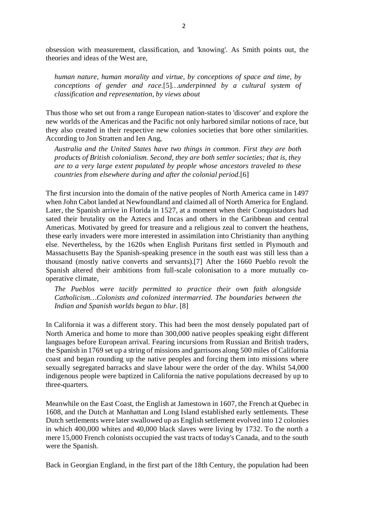obsession with measurement, classification, and 'knowing'. As Smith points out, the theories and ideas of the West are,

*human nature, human morality and virtue, by conceptions of space and time, by conceptions of gender and race.*[5]*…underpinned by a cultural system of classification and representation, by views about* 

Thus those who set out from a range European nation-states to 'discover' and explore the new worlds of the Americas and the Pacific not only harbored similar notions of race, but they also created in their respective new colonies societies that bore other similarities. According to Jon Stratten and Ien Ang,

*Australia and the United States have two things in common. First they are both products of British colonialism. Second, they are both settler societies; that is, they are to a very large extent populated by people whose ancestors traveled to these countries from elsewhere during and after the colonial period.*[6]

The first incursion into the domain of the native peoples of North America came in 1497 when John Cabot landed at Newfoundland and claimed all of North America for England. Later, the Spanish arrive in Florida in 1527, at a moment when their Conquistadors had sated their brutality on the Aztecs and Incas and others in the Caribbean and central Americas. Motivated by greed for treasure and a religious zeal to convert the heathens, these early invaders were more interested in assimilation into Christianity than anything else. Nevertheless, by the 1620s when English Puritans first settled in Plymouth and Massachusetts Bay the Spanish-speaking presence in the south east was still less than a thousand (mostly native converts and servants).[7] After the 1660 Pueblo revolt the Spanish altered their ambitions from full-scale colonisation to a more mutually cooperative climate,

*The Pueblos were tacitly permitted to practice their own faith alongside Catholicism…Colonists and colonized intermarried. The boundaries between the Indian and Spanish worlds began to blur.* [8]

In California it was a different story. This had been the most densely populated part of North America and home to more than 300,000 native peoples speaking eight different languages before European arrival. Fearing incursions from Russian and British traders, the Spanish in 1769 set up a string of missions and garrisons along 500 miles of California coast and began rounding up the native peoples and forcing them into missions where sexually segregated barracks and slave labour were the order of the day. Whilst 54,000 indigenous people were baptized in California the native populations decreased by up to three-quarters.

Meanwhile on the East Coast, the English at Jamestown in 1607, the French at Quebec in 1608, and the Dutch at Manhattan and Long Island established early settlements. These Dutch settlements were later swallowed up as English settlement evolved into 12 colonies in which 400,000 whites and 40,000 black slaves were living by 1732. To the north a mere 15,000 French colonists occupied the vast tracts of today's Canada, and to the south were the Spanish.

Back in Georgian England, in the first part of the 18th Century, the population had been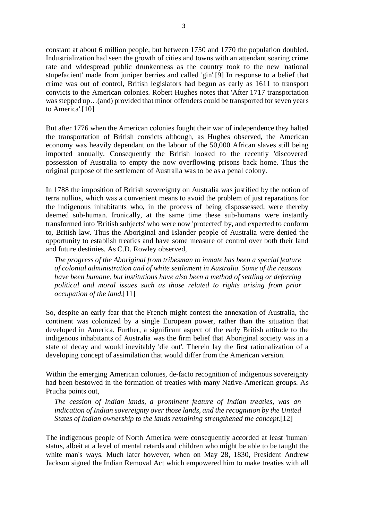constant at about 6 million people, but between 1750 and 1770 the population doubled. Industrialization had seen the growth of cities and towns with an attendant soaring crime rate and widespread public drunkenness as the country took to the new 'national stupefacient' made from juniper berries and called 'gin'.[9] In response to a belief that crime was out of control, British legislators had begun as early as 1611 to transport convicts to the American colonies. Robert Hughes notes that 'After 1717 transportation was stepped up…(and) provided that minor offenders could be transported for seven years to America'.[10]

But after 1776 when the American colonies fought their war of independence they halted the transportation of British convicts although, as Hughes observed, the American economy was heavily dependant on the labour of the 50,000 African slaves still being imported annually. Consequently the British looked to the recently 'discovered' possession of Australia to empty the now overflowing prisons back home. Thus the original purpose of the settlement of Australia was to be as a penal colony.

In 1788 the imposition of British sovereignty on Australia was justified by the notion of terra nullius, which was a convenient means to avoid the problem of just reparations for the indigenous inhabitants who, in the process of being dispossessed, were thereby deemed sub-human. Ironically, at the same time these sub-humans were instantly transformed into 'British subjects' who were now 'protected' by, and expected to conform to, British law. Thus the Aboriginal and Islander people of Australia were denied the opportunity to establish treaties and have some measure of control over both their land and future destinies. As C.D. Rowley observed,

*The progress of the Aboriginal from tribesman to inmate has been a special feature of colonial administration and of white settlement in Australia. Some of the reasons have been humane, but institutions have also been a method of settling or deferring political and moral issues such as those related to rights arising from prior occupation of the land.*[11]

So, despite an early fear that the French might contest the annexation of Australia, the continent was colonized by a single European power, rather than the situation that developed in America. Further, a significant aspect of the early British attitude to the indigenous inhabitants of Australia was the firm belief that Aboriginal society was in a state of decay and would inevitably 'die out'. Therein lay the first rationalization of a developing concept of assimilation that would differ from the American version.

Within the emerging American colonies, de-facto recognition of indigenous sovereignty had been bestowed in the formation of treaties with many Native-American groups. As Prucha points out,

*The cession of Indian lands, a prominent feature of Indian treaties, was an indication of Indian sovereignty over those lands, and the recognition by the United States of Indian ownership to the lands remaining strengthened the concept.*[12]

The indigenous people of North America were consequently accorded at least 'human' status, albeit at a level of mental retards and children who might be able to be taught the white man's ways. Much later however, when on May 28, 1830, President Andrew Jackson signed the Indian Removal Act which empowered him to make treaties with all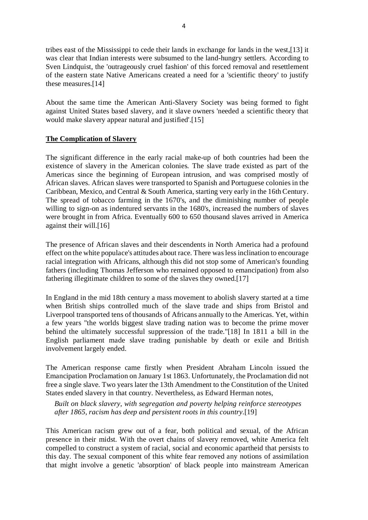tribes east of the Mississippi to cede their lands in exchange for lands in the west,[13] it was clear that Indian interests were subsumed to the land-hungry settlers. According to Sven Lindquist, the 'outrageously cruel fashion' of this forced removal and resettlement of the eastern state Native Americans created a need for a 'scientific theory' to justify these measures.[14]

About the same time the American Anti-Slavery Society was being formed to fight against United States based slavery, and it slave owners 'needed a scientific theory that would make slavery appear natural and justified'.[15]

# **The Complication of Slavery**

The significant difference in the early racial make-up of both countries had been the existence of slavery in the American colonies. The slave trade existed as part of the Americas since the beginning of European intrusion, and was comprised mostly of African slaves. African slaves were transported to Spanish and Portuguese colonies in the Caribbean, Mexico, and Central & South America, starting very early in the 16th Century. The spread of tobacco farming in the 1670's, and the diminishing number of people willing to sign-on as indentured servants in the 1680's, increased the numbers of slaves were brought in from Africa. Eventually 600 to 650 thousand slaves arrived in America against their will.[16]

The presence of African slaves and their descendents in North America had a profound effect on the white populace's attitudes about race. There was less inclination to encourage racial integration with Africans, although this did not stop some of American's founding fathers (including Thomas Jefferson who remained opposed to emancipation) from also fathering illegitimate children to some of the slaves they owned.[17]

In England in the mid 18th century a mass movement to abolish slavery started at a time when British ships controlled much of the slave trade and ships from Bristol and Liverpool transported tens of thousands of Africans annually to the Americas. Yet, within a few years "the worlds biggest slave trading nation was to become the prime mover behind the ultimately successful suppression of the trade."[18] In 1811 a bill in the English parliament made slave trading punishable by death or exile and British involvement largely ended.

The American response came firstly when President Abraham Lincoln issued the Emancipation Proclamation on January 1st 1863. Unfortunately, the Proclamation did not free a single slave. Two years later the 13th Amendment to the Constitution of the United States ended slavery in that country. Nevertheless, as Edward Herman notes,

*Built on black slavery, with segregation and poverty helping reinforce stereotypes after 1865, racism has deep and persistent roots in this country.*[19]

This American racism grew out of a fear, both political and sexual, of the African presence in their midst. With the overt chains of slavery removed, white America felt compelled to construct a system of racial, social and economic apartheid that persists to this day. The sexual component of this white fear removed any notions of assimilation that might involve a genetic 'absorption' of black people into mainstream American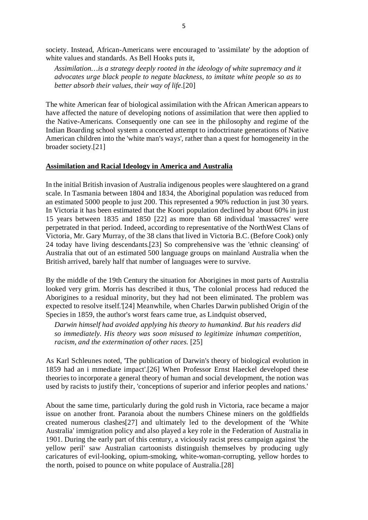society. Instead, African-Americans were encouraged to 'assimilate' by the adoption of white values and standards. As Bell Hooks puts it,

*Assimilation…is a strategy deeply rooted in the ideology of white supremacy and it advocates urge black people to negate blackness, to imitate white people so as to better absorb their values, their way of life.*[20]

The white American fear of biological assimilation with the African American appears to have affected the nature of developing notions of assimilation that were then applied to the Native-Americans. Consequently one can see in the philosophy and regime of the Indian Boarding school system a concerted attempt to indoctrinate generations of Native American children into the 'white man's ways', rather than a quest for homogeneity in the broader society.[21]

#### **Assimilation and Racial Ideology in America and Australia**

In the initial British invasion of Australia indigenous peoples were slaughtered on a grand scale. In Tasmania between 1804 and 1834, the Aboriginal population was reduced from an estimated 5000 people to just 200. This represented a 90% reduction in just 30 years. In Victoria it has been estimated that the Koori population declined by about 60% in just 15 years between 1835 and 1850 [22] as more than 68 individual 'massacres' were perpetrated in that period. Indeed, according to representative of the NorthWest Clans of Victoria, Mr. Gary Murray, of the 38 clans that lived in Victoria B.C. (Before Cook) only 24 today have living descendants.[23] So comprehensive was the 'ethnic cleansing' of Australia that out of an estimated 500 language groups on mainland Australia when the British arrived, barely half that number of languages were to survive.

By the middle of the 19th Century the situation for Aborigines in most parts of Australia looked very grim. Morris has described it thus, 'The colonial process had reduced the Aborigines to a residual minority, but they had not been eliminated. The problem was expected to resolve itself.'[24] Meanwhile, when Charles Darwin published Origin of the Species in 1859, the author's worst fears came true, as Lindquist observed,

*Darwin himself had avoided applying his theory to humankind. But his readers did so immediately. His theory was soon misused to legitimize inhuman competition, racism, and the extermination of other races.* [25]

As Karl Schleunes noted, 'The publication of Darwin's theory of biological evolution in 1859 had an i mmediate impact'.[26] When Professor Ernst Haeckel developed these theories to incorporate a general theory of human and social development, the notion was used by racists to justify their, 'conceptions of superior and inferior peoples and nations.'

About the same time, particularly during the gold rush in Victoria, race became a major issue on another front. Paranoia about the numbers Chinese miners on the goldfields created numerous clashes[27] and ultimately led to the development of the 'White Australia' immigration policy and also played a key role in the Federation of Australia in 1901. During the early part of this century, a viciously racist press campaign against 'the yellow peril' saw Australian cartoonists distinguish themselves by producing ugly caricatures of evil-looking, opium-smoking, white-woman-corrupting, yellow hordes to the north, poised to pounce on white populace of Australia.[28]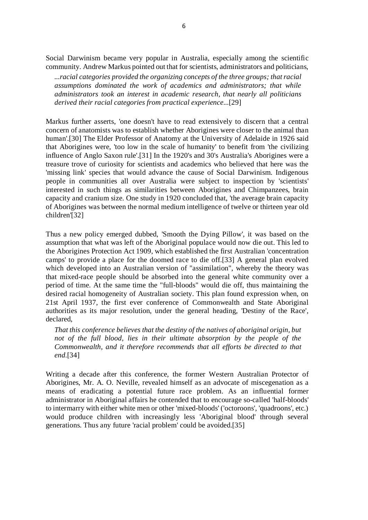Social Darwinism became very popular in Australia, especially among the scientific community. Andrew Markus pointed out that for scientists, administrators and politicians,

*...racial categories provided the organizing concepts of the three groups; that racial assumptions dominated the work of academics and administrators; that while administrators took an interest in academic research, that nearly all politicians derived their racial categories from practical experience...*[29]

Markus further asserts, 'one doesn't have to read extensively to discern that a central concern of anatomists was to establish whether Aborigines were closer to the animal than human'.[30] The Elder Professor of Anatomy at the University of Adelaide in 1926 said that Aborigines were, 'too low in the scale of humanity' to benefit from 'the civilizing influence of Anglo Saxon rule'.[31] In the 1920's and 30's Australia's Aborigines were a treasure trove of curiosity for scientists and academics who believed that here was the 'missing link' species that would advance the cause of Social Darwinism. Indigenous people in communities all over Australia were subject to inspection by 'scientists' interested in such things as similarities between Aborigines and Chimpanzees, brain capacity and cranium size. One study in 1920 concluded that, 'the average brain capacity of Aborigines was between the normal medium intelligence of twelve or thirteen year old children'[32]

Thus a new policy emerged dubbed, 'Smooth the Dying Pillow', it was based on the assumption that what was left of the Aboriginal populace would now die out. This led to the Aborigines Protection Act 1909, which established the first Australian 'concentration camps' to provide a place for the doomed race to die off.[33] A general plan evolved which developed into an Australian version of "assimilation", whereby the theory was that mixed-race people should be absorbed into the general white community over a period of time. At the same time the "full-bloods" would die off, thus maintaining the desired racial homogeneity of Australian society. This plan found expression when, on 21st April 1937, the first ever conference of Commonwealth and State Aboriginal authorities as its major resolution, under the general heading, 'Destiny of the Race', declared,

*That this conference believes that the destiny of the natives of aboriginal origin, but not of the full blood, lies in their ultimate absorption by the people of the Commonwealth, and it therefore recommends that all efforts be directed to that end.*[34]

Writing a decade after this conference, the former Western Australian Protector of Aborigines, Mr. A. O. Neville, revealed himself as an advocate of miscegenation as a means of eradicating a potential future race problem. As an influential former administrator in Aboriginal affairs he contended that to encourage so-called 'half-bloods' to intermarry with either white men or other 'mixed-bloods' ('octoroons', 'quadroons', etc.) would produce children with increasingly less 'Aboriginal blood' through several generations. Thus any future 'racial problem' could be avoided.[35]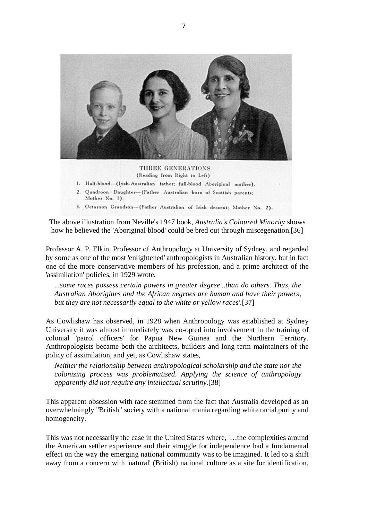

THREE GENERATIONS (Reading from Right to Left) 1. Half-blood-(Irish-Australian father; full-blood Aboriginal mother). 2. Quadroon Daughter-(Father Australian born of Scottish parents; Mother No. 1).

3. Octaroon Grandson-(Father Australian of Irish descent; Mother No. 2).

The above illustration from Neville's 1947 book, *Australia's Coloured Minority* shows how he believed the 'Aboriginal blood' could be bred out through miscegenation.[36]

Professor A. P. Elkin, Professor of Anthropology at University of Sydney, and regarded by some as one of the most 'enlightened' anthropologists in Australian history, but in fact one of the more conservative members of his profession, and a prime architect of the 'assimilation' policies, in 1929 wrote,

*...some races possess certain powers in greater degree...than do others. Thus, the Australian Aborigines and the African negroes are human and have their powers, but they are not necessarily equal to the white or yellow races'.*[37]

As Cowlishaw has observed, in 1928 when Anthropology was established at Sydney University it was almost immediately was co-opted into involvement in the training of colonial 'patrol officers' for Papua New Guinea and the Northern Territory. Anthropologists became both the architects, builders and long-term maintainers of the policy of assimilation, and yet, as Cowlishaw states,

*Neither the relationship between anthropological scholarship and the state nor the colonizing process was problematised. Applying the science of anthropology apparently did not require any intellectual scrutiny.*[38]

This apparent obsession with race stemmed from the fact that Australia developed as an overwhelmingly "British" society with a national mania regarding white racial purity and homogeneity.

This was not necessarily the case in the United States where, '…the complexities around the American settler experience and their struggle for independence had a fundamental effect on the way the emerging national community was to be imagined. It led to a shift away from a concern with 'natural' (British) national culture as a site for identification,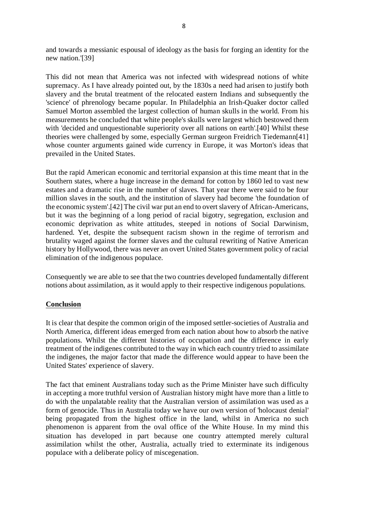and towards a messianic espousal of ideology as the basis for forging an identity for the new nation.'[39]

This did not mean that America was not infected with widespread notions of white supremacy. As I have already pointed out, by the 1830s a need had arisen to justify both slavery and the brutal treatment of the relocated eastern Indians and subsequently the 'science' of phrenology became popular. In Philadelphia an Irish-Quaker doctor called Samuel Morton assembled the largest collection of human skulls in the world. From his measurements he concluded that white people's skulls were largest which bestowed them with 'decided and unquestionable superiority over all nations on earth'.[40] Whilst these theories were challenged by some, especially German surgeon Freidrich Tiedemann[41] whose counter arguments gained wide currency in Europe, it was Morton's ideas that prevailed in the United States.

But the rapid American economic and territorial expansion at this time meant that in the Southern states, where a huge increase in the demand for cotton by 1860 led to vast new estates and a dramatic rise in the number of slaves. That year there were said to be four million slaves in the south, and the institution of slavery had become 'the foundation of the economic system'.[42] The civil war put an end to overt slavery of African-Americans, but it was the beginning of a long period of racial bigotry, segregation, exclusion and economic deprivation as white attitudes, steeped in notions of Social Darwinism, hardened. Yet, despite the subsequent racism shown in the regime of terrorism and brutality waged against the former slaves and the cultural rewriting of Native American history by Hollywood, there was never an overt United States government policy of racial elimination of the indigenous populace.

Consequently we are able to see that the two countries developed fundamentally different notions about assimilation, as it would apply to their respective indigenous populations.

## **Conclusion**

It is clear that despite the common origin of the imposed settler-societies of Australia and North America, different ideas emerged from each nation about how to absorb the native populations. Whilst the different histories of occupation and the difference in early treatment of the indigenes contributed to the way in which each country tried to assimilate the indigenes, the major factor that made the difference would appear to have been the United States' experience of slavery.

The fact that eminent Australians today such as the Prime Minister have such difficulty in accepting a more truthful version of Australian history might have more than a little to do with the unpalatable reality that the Australian version of assimilation was used as a form of genocide. Thus in Australia today we have our own version of 'holocaust denial' being propagated from the highest office in the land, whilst in America no such phenomenon is apparent from the oval office of the White House. In my mind this situation has developed in part because one country attempted merely cultural assimilation whilst the other, Australia, actually tried to exterminate its indigenous populace with a deliberate policy of miscegenation.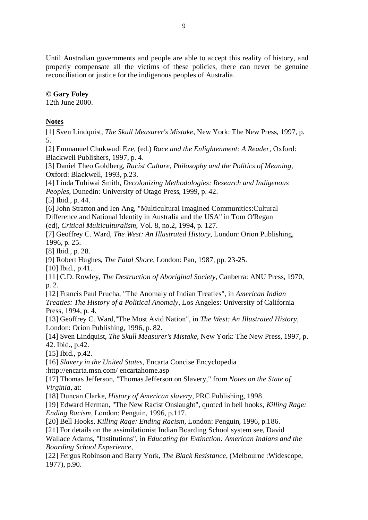Until Australian governments and people are able to accept this reality of history, and properly compensate all the victims of these policies, there can never be genuine reconciliation or justice for the indigenous peoples of Australia.

## **© Gary Foley**

12th June 2000.

# **Notes**

[1] Sven Lindquist, *The Skull Measurer's Mistake*, New York: The New Press, 1997, p. 5.

[2] Emmanuel Chukwudi Eze, (ed.) *Race and the Enlightenment: A Reader*, Oxford: Blackwell Publishers, 1997, p. 4.

[3] Daniel Theo Goldberg, *Racist Culture, Philosophy and the Politics of Meaning*, Oxford: Blackwell, 1993, p.23.

[4] Linda Tuhiwai Smith, *Decolonizing Methodologies: Research and Indigenous Peoples*, Dunedin: University of Otago Press, 1999, p. 42.

[5] Ibid., p. 44.

[6] John Stratton and Ien Ang, "Multicultural Imagined Communities:Cultural Difference and National Identity in Australia and the USA" in Tom O'Regan (ed), *Critical Multiculturalism*, Vol. 8, no.2, 1994, p. 127.

[7] Geoffrey C. Ward, *The West: An Illustrated History*, London: Orion Publishing,

1996, p. 25.

[8] Ibid., p. 28.

[9] Robert Hughes, *The Fatal Shore*, London: Pan, 1987, pp. 23-25.

[10] Ibid., p.41.

[11] C.D. Rowley, *The Destruction of Aboriginal Society*, Canberra: ANU Press, 1970, p. 2.

[12] Francis Paul Prucha, "The Anomaly of Indian Treaties", in *American Indian Treaties: The History of a Political Anomaly*, Los Angeles: University of California Press, 1994, p. 4.

[13] Geoffrey C. Ward,"The Most Avid Nation", in *The West: An Illustrated History*, London: Orion Publishing, 1996, p. 82.

[14] Sven Lindquist, *The Skull Measurer's Mistake*, New York: The New Press, 1997, p. 42. Ibid., p.42.

[15] Ibid., p.42.

[16] *Slavery in the United States*, Encarta Concise Encyclopedia

:http://encarta.msn.com/ encartahome.asp

[17] Thomas Jefferson, "Thomas Jefferson on Slavery," from *Notes on the State of Virginia*, at:

[18] Duncan Clarke, *History of American slavery*, PRC Publishing, 1998

[19] Edward Herman, "The New Racist Onslaught", quoted in bell hooks, *Killing Rage: Ending Racism*, London: Penguin, 1996, p.117.

[20] Bell Hooks, *Killing Rage: Ending Racism*, London: Penguin, 1996, p.186.

[21] For details on the assimilationist Indian Boarding School system see, David

Wallace Adams, "Institutions", in *Educating for Extinction: American Indians and the Boarding School Experience,*

[22] Fergus Robinson and Barry York, *The Black Resistance*, (Melbourne :Widescope, 1977), p.90.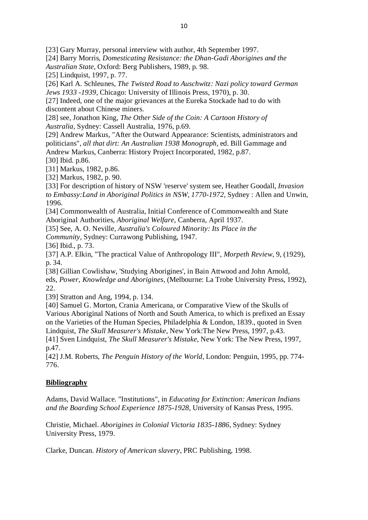[23] Gary Murray, personal interview with author, 4th September 1997.

[24] Barry Morris, *Domesticating Resistance: the Dhan-Gadi Aborigines and the Australian State*, Oxford: Berg Publishers, 1989, p. 98.

[25] Lindquist, 1997, p. 77.

[26] Karl A. Schleunes, *The Twisted Road to Auschwitz: Nazi policy toward German Jews 1933 -1939*, Chicago: University of Illinois Press, 1970), p. 30.

[27] Indeed, one of the major grievances at the Eureka Stockade had to do with discontent about Chinese miners.

[28] see, Jonathon King, *The Other Side of the Coin: A Cartoon History of Australia,* Sydney: Cassell Australia, 1976, p.69.

[29] Andrew Markus, "After the Outward Appearance: Scientists, administrators and politicians", *all that dirt: An Australian 1938 Monograph*, ed. Bill Gammage and Andrew Markus, Canberra: History Project Incorporated, 1982, p.87.

[30] Ibid. p.86.

[31] Markus, 1982, p.86.

[32] Markus, 1982, p. 90.

[33] For description of history of NSW 'reserve' system see, Heather Goodall, *Invasion to Embassy:Land in Aboriginal Politics in NSW, 1770-1972*, Sydney : Allen and Unwin, 1996.

[34] Commonwealth of Australia, Initial Conference of Commonwealth and State Aboriginal Authorities, *Aboriginal Welfare*, Canberra, April 1937.

[35] See, A. O. Neville, *Australia's Coloured Minority: Its Place in the* 

*Community,* Sydney: Currawong Publishing, 1947.

[36] Ibid., p. 73.

[37] A.P. Elkin, "The practical Value of Anthropology III", *Morpeth Review*, 9, (1929), p. 34.

[38] Gillian Cowlishaw, 'Studying Aborigines', in Bain Attwood and John Arnold, eds, *Power, Knowledge and Aborigines*, (Melbourne: La Trobe University Press, 1992), 22.

[39] Stratton and Ang, 1994, p. 134.

[40] Samuel G. Morton, Crania Americana, or Comparative View of the Skulls of Various Aboriginal Nations of North and South America, to which is prefixed an Essay on the Varieties of the Human Species, Philadelphia & London, 1839., quoted in Sven Lindquist, *The Skull Measurer's Mistake*, New York:The New Press, 1997, p.43.

[41] Sven Lindquist, *The Skull Measurer's Mistake*, New York: The New Press, 1997, p.47.

[42] J.M. Roberts, *The Penguin History of the World*, London: Penguin, 1995, pp. 774- 776.

# **Bibliography**

Adams, David Wallace. "Institutions", in *Educating for Extinction: American Indians and the Boarding School Experience 1875-1928*, University of Kansas Press, 1995.

Christie, Michael. *Aborigines in Colonial Victoria 1835-1886*, Sydney: Sydney University Press, 1979.

Clarke, Duncan. *History of American slavery*, PRC Publishing, 1998.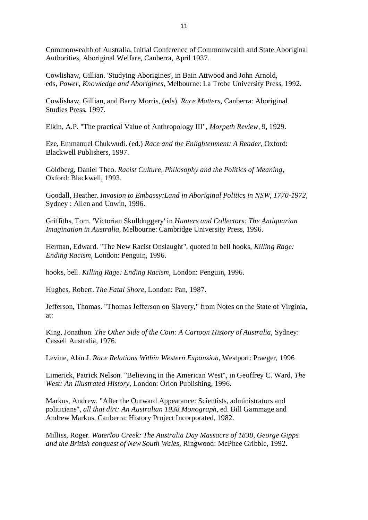Commonwealth of Australia, Initial Conference of Commonwealth and State Aboriginal Authorities, Aboriginal Welfare, Canberra, April 1937.

Cowlishaw, Gillian. 'Studying Aborigines', in Bain Attwood and John Arnold, eds, *Power, Knowledge and Aborigines*, Melbourne: La Trobe University Press, 1992.

Cowlishaw, Gillian, and Barry Morris, (eds). *Race Matters*, Canberra: Aboriginal Studies Press, 1997.

Elkin, A.P. "The practical Value of Anthropology III", *Morpeth Review*, 9, 1929.

Eze, Emmanuel Chukwudi. (ed.) *Race and the Enlightenment: A Reader*, Oxford: Blackwell Publishers, 1997.

Goldberg, Daniel Theo. *Racist Culture, Philosophy and the Politics of Meaning*, Oxford: Blackwell, 1993.

Goodall, Heather. *Invasion to Embassy:Land in Aboriginal Politics in NSW, 1770-1972*, Sydney : Allen and Unwin, 1996.

Griffiths, Tom. 'Victorian Skullduggery' in *Hunters and Collectors: The Antiquarian Imagination in Australia*, Melbourne: Cambridge University Press, 1996.

Herman, Edward. "The New Racist Onslaught", quoted in bell hooks, *Killing Rage: Ending Racism*, London: Penguin, 1996.

hooks, bell. *Killing Rage: Ending Racism*, London: Penguin, 1996.

Hughes, Robert. *The Fatal Shore*, London: Pan, 1987.

Jefferson, Thomas. "Thomas Jefferson on Slavery," from Notes on the State of Virginia, at:

King, Jonathon. *The Other Side of the Coin: A Cartoon History of Australia*, Sydney: Cassell Australia, 1976.

Levine, Alan J. *Race Relations Within Western Expansion*, Westport: Praeger, 1996

Limerick, Patrick Nelson. "Believing in the American West", in Geoffrey C. Ward, *The West: An Illustrated History*, London: Orion Publishing, 1996.

Markus, Andrew. "After the Outward Appearance: Scientists, administrators and politicians", *all that dirt: An Australian 1938 Monograph*, ed. Bill Gammage and Andrew Markus, Canberra: History Project Incorporated, 1982.

Milliss, Roger. *Waterloo Creek: The Australia Day Massacre of 1838, George Gipps and the British conquest of New South Wales*, Ringwood: McPhee Gribble, 1992.